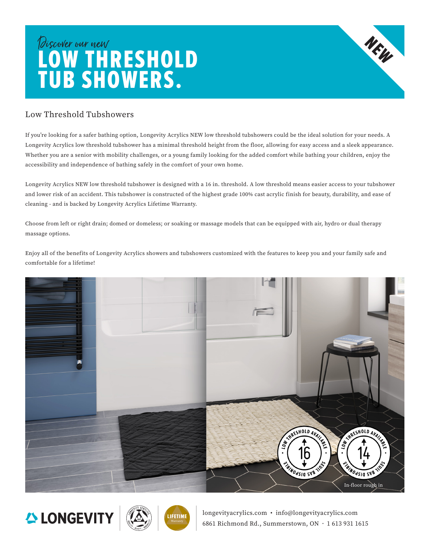## Discover our new LOW THRESHOLD TUB SHOWERS.

## Low Threshold Tubshowers

If you're looking for a safer bathing option, Longevity Acrylics NEW low threshold tubshowers could be the ideal solution for your needs. A Longevity Acrylics low threshold tubshower has a minimal threshold height from the floor, allowing for easy access and a sleek appearance. Whether you are a senior with mobility challenges, or a young family looking for the added comfort while bathing your children, enjoy the accessibility and independence of bathing safely in the comfort of your own home.

Longevity Acrylics NEW low threshold tubshower is designed with a 16 in. threshold. A low threshold means easier access to your tubshower and lower risk of an accident. This tubshower is constructed of the highest grade 100% cast acrylic finish for beauty, durability, and ease of cleaning - and is backed by Longevity Acrylics Lifetime Warranty.

Choose from left or right drain; domed or domeless; or soaking or massage models that can be equipped with air, hydro or dual therapy massage options.

Enjoy all of the benefits of Longevity Acrylics showers and tubshowers customized with the features to keep you and your family safe and comfortable for a lifetime!







longevityacrylics.com • info@longevityacrylics.com 6861 Richmond Rd., Summerstown, ON • 1 613 931 1615

NEW